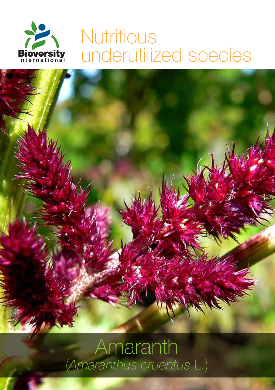

# **Nutritious** underutilized species

## Amaranth (*Amaranthus cruentus* L.)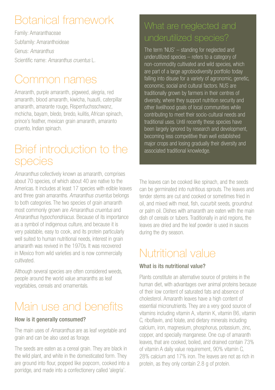### Botanical framework

Family: Amaranthaceae Subfamily: Amaranthoideae Genus: Amaranthus Scientific name: Amaranthus cruentus L.

### Common names

Amaranth, purple amaranth, pigweed, alegria, red amaranth, blood amaranth, kiwicha, huautli, caterpillar amaranth, amarante rouge, Rispenfuchsschwanz, mchicha, bayam, bledo, bredo, kulitis, African spinach, prince's feather, mexican grain amaranth, amaranto cruento, Indian spinach.

### Brief introduction to the species

Amaranthus collectively known as amaranth, comprises about 70 species, of which about 40 are native to the Americas. It includes at least 17 species with edible leaves and three grain amaranths. Amaranthus cruentus belongs to both categories. The two species of grain amaranth most commonly grown are Amaranthus cruentus and Amaranthus hypochondriacus. Because of its importance as a symbol of indigenous culture, and because it is very palatable, easy to cook, and its protein particularly well suited to human nutritional needs, interest in grain amaranth was revived in the 1970s. It was recovered in Mexico from wild varieties and is now commercially cultivated.

Although several species are often considered weeds, people around the world value amaranths as leaf vegetables, cereals and ornamentals.

### Main use and benefits

#### How is it generally consumed?

The main uses of Amaranthus are as leaf vegetable and grain and can be also used as forage.

The seeds are eaten as a cereal grain. They are black in the wild plant, and white in the domesticated form. They are ground into flour, popped like popcorn, cooked into a porridge, and made into a confectionery called 'alegría'.

### What are neglected and underutilized species?

The term 'NUS' – standing for neglected and underutilized species – refers to a category of non-commodity cultivated and wild species, which are part of a large agrobiodiversity portfolio today falling into disuse for a variety of agronomic, genetic, economic, social and cultural factors. NUS are traditionally grown by farmers in their centres of diversity, where they support nutrition security and other livelihood goals of local communities while contributing to meet their socio-cultural needs and traditional uses. Until recently these species have been largely ignored by research and development. becoming less competitive than well established major crops and losing gradually their diversity and associated traditional knowledge.

The leaves can be cooked like spinach, and the seeds can be germinated into nutritious sprouts. The leaves and tender stems are cut and cooked or sometimes fried in oil, and mixed with meat, fish, cucurbit seeds, groundnut or palm oil. Dishes with amaranth are eaten with the main dish of cereals or tubers. Traditionally in arid regions, the leaves are dried and the leaf powder is used in sauces during the dry season.

### Nutritional value

#### What is its nutritional value?

Plants constitute an alternative source of proteins in the human diet, with advantages over animal proteins because of their low content of saturated fats and absence of cholesterol. Amaranth leaves have a high content of essential micronutrients. They are a very good source of vitamins including vitamin A, vitamin K, vitamin B6, vitamin C, riboflavin, and folate, and dietary minerals including calcium, iron, magnesium, phosphorus, potassium, zinc, copper, and specially manganese. One cup of amaranth leaves, that are cooked, boiled, and drained contain 73% of vitamin A daily value requirement, 90% vitamin C, 28% calcium and 17% iron. The leaves are not as rich in protein, as they only contain 2.8 g of protein.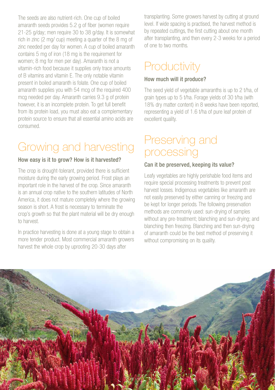The seeds are also nutrient-rich. One cup of boiled amaranth seeds provides 5.2 g of fiber (women require 21-25 g/day; men require 30 to 38 g/day. It is somewhat rich in zinc (2 mg/ cup) meeting a quarter of the 8 mg of zinc needed per day for women. A cup of boiled amaranth contains 5 mg of iron (18 mg is the requirement for women; 8 mg for men per day). Amaranth is not a vitamin-rich food because it supplies only trace amounts of B vitamins and vitamin E. The only notable vitamin present in boiled amaranth is folate. One cup of boiled amaranth supplies you with 54 mcg of the required 400 mcg needed per day. Amaranth carries 9.3 g of protein however, it is an incomplete protein. To get full benefit from its protein load, you must also eat a complementary protein source to ensure that all essential amino acids are consumed.

## Growing and harvesting

#### How easy is it to grow? How is it harvested?

The crop is drought-tolerant, provided there is sufficient moisture during the early growing period. Frost plays an important role in the harvest of the crop. Since amaranth is an annual crop native to the southern latitudes of North America, it does not mature completely where the growing season is short. A frost is necessary to terminate the crop's growth so that the plant material will be dry enough to harvest.

In practice harvesting is done at a young stage to obtain a more tender product. Most commercial amaranth growers harvest the whole crop by uprooting 20-30 days after

transplanting. Some growers harvest by cutting at ground level. If wide spacing is practised, the harvest method is by repeated cuttings, the first cutting about one month after transplanting, and then every 2-3 weeks for a period of one to two months.

### **Productivity**

#### How much will it produce?

e excellent quality. The seed yield of vegetable amaranths is up to 2 t/ha, of grain types up to 5 t/ha. Forage yields of 30 t/ha (with 18% dry matter content) in 8 weeks have been reported, representing a yield of 1.6 t/ha of pure leaf protein of

### Preserving and processing

#### Nuestra visión es la decembra visión es la decembra visión es la decembra visión es la decembra visión es la d<br>Nuestra visión es la decembra visión es la decembra visión es la decembra visión es la decembra visión en la d Can it be preserved, keeping its value?

Leafy vegetables are highly perishable food items and<br>require apocial precessing treatments to provent pert pequeño spostal processalig a statistiko te proventi post<br>harvest losses. Indigenous vegetables like amaranth are  $\frac{1}{n}$  not easily preserved by either canning or freezing and som be kept for longer periods. The following preservation<br>matheds are commanly used, our drains of complex sh included are commonly added. Said af ying or dampied<br>without any pre-treatment; blanching and sun-drying; and require special processing treatments to prevent post methods are commonly used: sun-drying of samples blanching then freezing. Blanching and then sun-drying of amaranth could be the best method of preserving it without compromising on its quality.